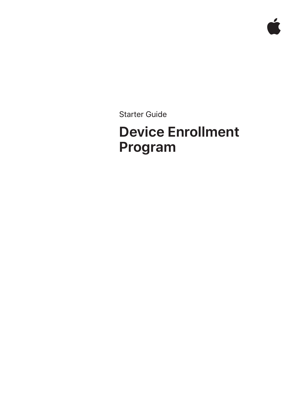Starter Guide

# **Device Enrollment Program**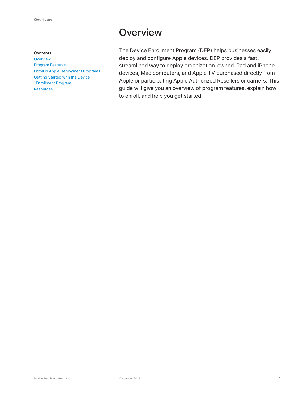#### **Contents**

**Overview** Program Features Enroll in Apple Deployment Programs Getting Started with the Device Enrollment Program **Resources** 

## **Overview**

The Device Enrollment Program (DEP) helps businesses easily deploy and configure Apple devices. DEP provides a fast, streamlined way to deploy organization-owned iPad and iPhone devices, Mac computers, and Apple TV purchased directly from Apple or participating Apple Authorized Resellers or carriers. This guide will give you an overview of program features, explain how to enroll, and help you get started.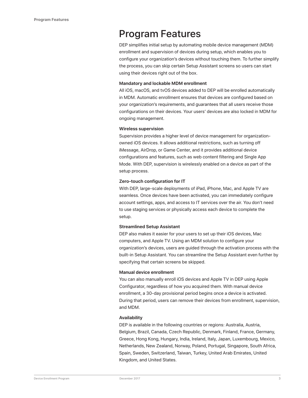### Program Features

DEP simplifies initial setup by automating mobile device management (MDM) enrollment and supervision of devices during setup, which enables you to configure your organization's devices without touching them. To further simplify the process, you can skip certain Setup Assistant screens so users can start using their devices right out of the box.

#### **Mandatory and lockable MDM enrollment**

All iOS, macOS, and tvOS devices added to DEP will be enrolled automatically in MDM. Automatic enrollment ensures that devices are configured based on your organization's requirements, and guarantees that all users receive those configurations on their devices. Your users' devices are also locked in MDM for ongoing management.

#### **Wireless supervision**

Supervision provides a higher level of device management for organizationowned iOS devices. It allows additional restrictions, such as turning off iMessage, AirDrop, or Game Center, and it provides additional device configurations and features, such as web content filtering and Single App Mode. With DEP, supervision is wirelessly enabled on a device as part of the setup process.

#### **Zero-touch configuration for IT**

With DEP, large-scale deployments of iPad, iPhone, Mac, and Apple TV are seamless. Once devices have been activated, you can immediately configure account settings, apps, and access to IT services over the air. You don't need to use staging services or physically access each device to complete the setup.

#### **Streamlined Setup Assistant**

DEP also makes it easier for your users to set up their iOS devices, Mac computers, and Apple TV. Using an MDM solution to configure your organization's devices, users are guided through the activation process with the built-in Setup Assistant. You can streamline the Setup Assistant even further by specifying that certain screens be skipped.

#### **Manual device enrollment**

You can also manually enroll iOS devices and Apple TV in DEP using Apple Configurator, regardless of how you acquired them. With manual device enrollment, a 30-day provisional period begins once a device is activated. During that period, users can remove their devices from enrollment, supervision, and MDM.

#### **Availability**

DEP is available in the following countries or regions: Australia, Austria, Belgium, Brazil, Canada, Czech Republic, Denmark, Finland, France, Germany, Greece, Hong Kong, Hungary, India, Ireland, Italy, Japan, Luxembourg, Mexico, Netherlands, New Zealand, Norway, Poland, Portugal, Singapore, South Africa, Spain, Sweden, Switzerland, Taiwan, Turkey, United Arab Emirates, United Kingdom, and United States.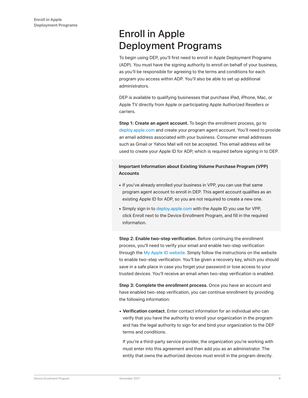# Enroll in Apple Deployment Programs

To begin using DEP, you'll first need to enroll in Apple Deployment Programs (ADP). You must have the signing authority to enroll on behalf of your business, as you'll be responsible for agreeing to the terms and conditions for each program you access within ADP. You'll also be able to set up additional administrators.

DEP is available to qualifying businesses that purchase iPad, iPhone, Mac, or Apple TV directly from Apple or participating Apple Authorized Resellers or carriers.

**Step 1: Create an agent account.** To begin the enrollment process, go to deploy.apple.com and create your program agent account. You'll need to provide an email address associated with your business. Consumer email addresses such as Gmail or Yahoo Mail will not be accepted. This email address will be used to create your Apple ID for ADP, which is required before signing in to DEP.

#### **Important Information about Existing Volume Purchase Program (VPP) Accounts**

- If you've already enrolled your business in VPP, you can use that same program agent account to enroll in DEP. This agent account qualifies as an existing Apple ID for ADP, so you are not required to create a new one.
- Simply sign in to deploy.apple.com with the Apple ID you use for VPP, click Enroll next to the Device Enrollment Program, and fill in the required information.

**Step 2: Enable two-step verification.** Before continuing the enrollment process, you'll need to verify your email and enable two-step verification through the My Apple ID website. Simply follow the instructions on the website to enable two-step verification. You'll be given a recovery key, which you should save in a safe place in case you forget your password or lose access to your trusted devices. You'll receive an email when two-step verification is enabled.

**Step 3: Complete the enrollment process.** Once you have an account and have enabled two-step verification, you can continue enrollment by providing the following information:

• **Verification contact.** Enter contact information for an individual who can verify that you have the authority to enroll your organization in the program and has the legal authority to sign for and bind your organization to the DEP terms and conditions.

If you're a third-party service provider, the organization you're working with must enter into this agreement and then add you as an administrator. The entity that owns the authorized devices must enroll in the program directly.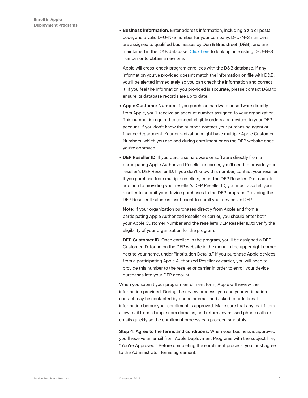• **Business information.** Enter address information, including a zip or postal code, and a valid D-U-N-S number for your company. D-U-N-S numbers are assigned to qualified businesses by Dun & Bradstreet (D&B), and are maintained in the D&B database. Click here to look up an existing D-U-N-S number or to obtain a new one.

Apple will cross-check program enrollees with the D&B database. If any information you've provided doesn't match the information on file with D&B, you'll be alerted immediately so you can check the information and correct it. If you feel the information you provided is accurate, please contact D&B to ensure its database records are up to date.

- **Apple Customer Number.** If you purchase hardware or software directly from Apple, you'll receive an account number assigned to your organization. This number is required to connect eligible orders and devices to your DEP account. If you don't know the number, contact your purchasing agent or finance department. Your organization might have multiple Apple Customer Numbers, which you can add during enrollment or on the DEP website once you're approved.
- **DEP Reseller ID.** If you purchase hardware or software directly from a participating Apple Authorized Reseller or carrier, you'll need to provide your reseller's DEP Reseller ID. If you don't know this number, contact your reseller. If you purchase from multiple resellers, enter the DEP Reseller ID of each. In addition to providing your reseller's DEP Reseller ID, you must also tell your reseller to submit your device purchases to the DEP program. Providing the DEP Reseller ID alone is insufficient to enroll your devices in DEP.

**Note:** If your organization purchases directly from Apple and from a participating Apple Authorized Reseller or carrier, you should enter both your Apple Customer Number and the reseller's DEP Reseller ID.to verify the eligibility of your organization for the program.

**DEP Customer ID.** Once enrolled in the program, you'll be assigned a DEP Customer ID, found on the DEP website in the menu in the upper right corner next to your name, under "Institution Details." If you purchase Apple devices from a participating Apple Authorized Reseller or carrier, you will need to provide this number to the reseller or carrier in order to enroll your device purchases into your DEP account.

When you submit your program enrollment form, Apple will review the information provided. During the review process, you and your verification contact may be contacted by phone or email and asked for additional information before your enrollment is approved. Make sure that any mail filters allow mail from all apple.com domains, and return any missed phone calls or emails quickly so the enrollment process can proceed smoothly.

**Step 4: Agree to the terms and conditions.** When your business is approved, you'll receive an email from Apple Deployment Programs with the subject line, "You're Approved." Before completing the enrollment process, you must agree to the Administrator Terms agreement.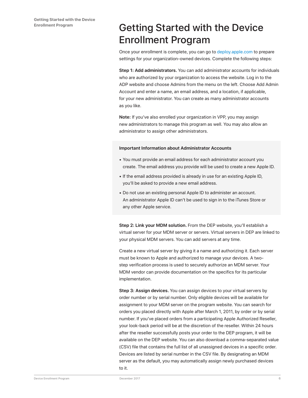# Getting Started with the Device Enrollment Program

Once your enrollment is complete, you can go to deploy.apple.com to prepare settings for your organization-owned devices. Complete the following steps:

**Step 1: Add administrators.** You can add administrator accounts for individuals who are authorized by your organization to access the website. Log in to the ADP website and choose Admins from the menu on the left. Choose Add Admin Account and enter a name, an email address, and a location, if applicable, for your new administrator. You can create as many administrator accounts as you like.

**Note:** If you've also enrolled your organization in VPP, you may assign new administrators to manage this program as well. You may also allow an administrator to assign other administrators.

#### **Important Information about Administrator Accounts**

- You must provide an email address for each administrator account you create. The email address you provide will be used to create a new Apple ID.
- If the email address provided is already in use for an existing Apple ID, you'll be asked to provide a new email address.
- Do not use an existing personal Apple ID to administer an account. An administrator Apple ID can't be used to sign in to the iTunes Store or any other Apple service.

**Step 2: Link your MDM solution.** From the DEP website, you'll establish a virtual server for your MDM server or servers. Virtual servers in DEP are linked to your physical MDM servers. You can add servers at any time.

Create a new virtual server by giving it a name and authorizing it. Each server must be known to Apple and authorized to manage your devices. A twostep verification process is used to securely authorize an MDM server. Your MDM vendor can provide documentation on the specifics for its particular implementation.

**Step 3: Assign devices.** You can assign devices to your virtual servers by order number or by serial number. Only eligible devices will be available for assignment to your MDM server on the program website. You can search for orders you placed directly with Apple after March 1, 2011, by order or by serial number. If you've placed orders from a participating Apple Authorized Reseller, your look-back period will be at the discretion of the reseller. Within 24 hours after the reseller successfully posts your order to the DEP program, it will be available on the DEP website. You can also download a comma-separated value (CSV) file that contains the full list of all unassigned devices in a specific order. Devices are listed by serial number in the CSV file. By designating an MDM server as the default, you may automatically assign newly purchased devices to it.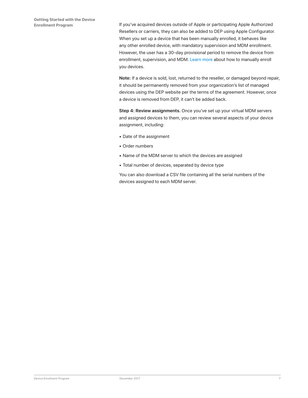If you've acquired devices outside of Apple or participating Apple Authorized Resellers or carriers, they can also be added to DEP using Apple Configurator. When you set up a device that has been manually enrolled, it behaves like any other enrolled device, with mandatory supervision and MDM enrollment. However, the user has a 30-day provisional period to remove the device from enrollment, supervision, and MDM. Learn more about how to manually enroll you devices.

**Note:** If a device is sold, lost, returned to the reseller, or damaged beyond repair, it should be permanently removed from your organization's list of managed devices using the DEP website per the terms of the agreement. However, once a device is removed from DEP, it can't be added back.

**Step 4: Review assignments.** Once you've set up your virtual MDM servers and assigned devices to them, you can review several aspects of your device assignment, including:

- Date of the assignment
- Order numbers
- Name of the MDM server to which the devices are assigned
- Total number of devices, separated by device type

You can also download a CSV file containing all the serial numbers of the devices assigned to each MDM server.